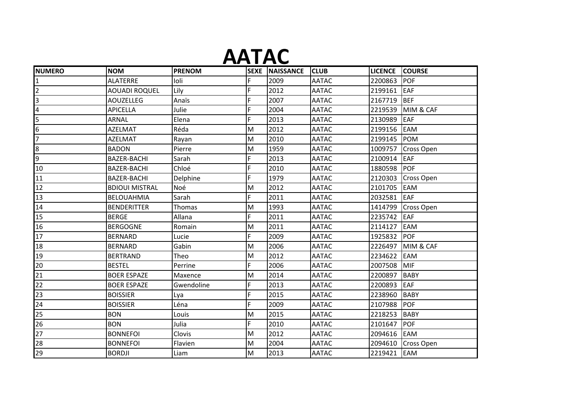# **AATAC**

| <b>NUMERO</b>  | <b>NOM</b>            | <b>PRENOM</b> |    | <b>SEXE NAISSANCE</b> | <b>CLUB</b>  | <b>LICENCE</b> | <b>COURSE</b>     |
|----------------|-----------------------|---------------|----|-----------------------|--------------|----------------|-------------------|
|                | <b>ALATERRE</b>       | loli          | F  | 2009                  | <b>AATAC</b> | 2200863        | <b>POF</b>        |
|                | <b>AOUADI ROQUEL</b>  | Lily          | F  | 2012                  | <b>AATAC</b> | 2199161        | <b>EAF</b>        |
| 3              | <b>AOUZELLEG</b>      | Anaïs         | F  | 2007                  | <b>AATAC</b> | 2167719        | <b>BEF</b>        |
| $\overline{4}$ | <b>APICELLA</b>       | Julie         | Ë  | 2004                  | <b>AATAC</b> | 2219539        | MIM & CAF         |
| 5              | <b>ARNAL</b>          | Elena         | F  | 2013                  | <b>AATAC</b> | 2130989        | <b>EAF</b>        |
| 6              | <b>AZELMAT</b>        | Réda          | M  | 2012                  | <b>AATAC</b> | 2199156        | <b>EAM</b>        |
|                | <b>AZELMAT</b>        | Rayan         | M  | 2010                  | <b>AATAC</b> | 2199145        | <b>POM</b>        |
| 8              | <b>BADON</b>          | Pierre        | M  | 1959                  | <b>AATAC</b> | 1009757        | <b>Cross Open</b> |
| 9              | <b>BAZER-BACHI</b>    | Sarah         | F  | 2013                  | <b>AATAC</b> | 2100914        | <b>EAF</b>        |
| 10             | BAZER-BACHI           | Chloé         | F  | 2010                  | <b>AATAC</b> | 1880598        | <b>POF</b>        |
| 11             | <b>BAZER-BACHI</b>    | Delphine      | F  | 1979                  | <b>AATAC</b> | 2120303        | Cross Open        |
| 12             | <b>BDIOUI MISTRAL</b> | Noé           | M  | 2012                  | <b>AATAC</b> | 2101705        | <b>EAM</b>        |
| 13             | <b>BELOUAHMIA</b>     | Sarah         | F  | 2011                  | <b>AATAC</b> | 2032581        | EAF               |
| 14             | <b>BENDERITTER</b>    | Thomas        | M  | 1993                  | <b>AATAC</b> | 1414799        | Cross Open        |
| 15             | <b>BERGE</b>          | Allana        | F  | 2011                  | <b>AATAC</b> | 2235742        | <b>EAF</b>        |
| 16             | <b>BERGOGNE</b>       | Romain        | M  | 2011                  | <b>AATAC</b> | 2114127        | EAM               |
| 17             | <b>BERNARD</b>        | Lucie         | F. | 2009                  | <b>AATAC</b> | 1925832        | <b>POF</b>        |
| 18             | <b>BERNARD</b>        | Gabin         | M  | 2006                  | <b>AATAC</b> | 2226497        | MIM & CAF         |
| 19             | <b>BERTRAND</b>       | Theo          | M  | 2012                  | <b>AATAC</b> | 2234622        | <b>EAM</b>        |
| 20             | <b>BESTEL</b>         | Perrine       | F  | 2006                  | <b>AATAC</b> | 2007508        | <b>MIF</b>        |
| 21             | <b>BOER ESPAZE</b>    | Maxence       | M  | 2014                  | <b>AATAC</b> | 2200897        | <b>BABY</b>       |
| 22             | <b>BOER ESPAZE</b>    | Gwendoline    | F  | 2013                  | <b>AATAC</b> | 2200893        | <b>EAF</b>        |
| 23             | <b>BOISSIER</b>       | Lya           | F  | 2015                  | <b>AATAC</b> | 2238960        | <b>BABY</b>       |
| 24             | <b>BOISSIER</b>       | Léna          | F  | 2009                  | <b>AATAC</b> | 2107988        | <b>POF</b>        |
| 25             | <b>BON</b>            | Louis         | M  | 2015                  | <b>AATAC</b> | 2218253        | <b>BABY</b>       |
| 26             | <b>BON</b>            | Julia         | F  | 2010                  | <b>AATAC</b> | 2101647        | POF               |
| 27             | <b>BONNEFOI</b>       | Clovis        | M  | 2012                  | <b>AATAC</b> | 2094616        | EAM               |
| 28             | <b>BONNEFOI</b>       | Flavien       | M  | 2004                  | <b>AATAC</b> | 2094610        | <b>Cross Open</b> |
| 29             | <b>BORDJI</b>         | Liam          | M  | 2013                  | <b>AATAC</b> | 2219421        | EAM               |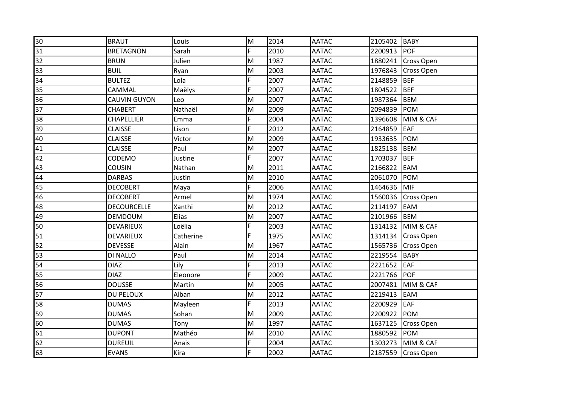| 30 | <b>BRAUT</b>       | Louis     | M              | 2014 | <b>AATAC</b> | 2105402 | BABY              |
|----|--------------------|-----------|----------------|------|--------------|---------|-------------------|
| 31 | <b>BRETAGNON</b>   | Sarah     | $\overline{F}$ | 2010 | <b>AATAC</b> | 2200913 | <b>POF</b>        |
| 32 | <b>BRUN</b>        | Julien    | M              | 1987 | <b>AATAC</b> | 1880241 | Cross Open        |
| 33 | <b>BUIL</b>        | Ryan      | M              | 2003 | <b>AATAC</b> | 1976843 | <b>Cross Open</b> |
| 34 | <b>BULTEZ</b>      | Lola      | F.             | 2007 | <b>AATAC</b> | 2148859 | <b>BEF</b>        |
| 35 | CAMMAL             | Maëlys    | F              | 2007 | <b>AATAC</b> | 1804522 | <b>BEF</b>        |
| 36 | CAUVIN GUYON       | Leo       | M              | 2007 | <b>AATAC</b> | 1987364 | <b>BEM</b>        |
| 37 | <b>CHABERT</b>     | Nathaël   | M              | 2009 | <b>AATAC</b> | 2094839 | <b>POM</b>        |
| 38 | CHAPELLIER         | Emma      | F              | 2004 | <b>AATAC</b> | 1396608 | MIM & CAF         |
| 39 | <b>CLAISSE</b>     | Lison     | F.             | 2012 | <b>AATAC</b> | 2164859 | EAF               |
| 40 | <b>CLAISSE</b>     | Victor    | M              | 2009 | <b>AATAC</b> | 1933635 | POM               |
| 41 | <b>CLAISSE</b>     | Paul      | M              | 2007 | <b>AATAC</b> | 1825138 | <b>BEM</b>        |
| 42 | CODEMO             | Justine   | F.             | 2007 | <b>AATAC</b> | 1703037 | <b>BEF</b>        |
| 43 | <b>COUSIN</b>      | Nathan    | M              | 2011 | <b>AATAC</b> | 2166822 | <b>EAM</b>        |
| 44 | <b>DARBAS</b>      | Justin    | M              | 2010 | <b>AATAC</b> | 2061070 | POM               |
| 45 | <b>DECOBERT</b>    | Maya      | F              | 2006 | <b>AATAC</b> | 1464636 | MIF               |
| 46 | <b>DECOBERT</b>    | Armel     | M              | 1974 | <b>AATAC</b> | 1560036 | <b>Cross Open</b> |
| 48 | <b>DECOURCELLE</b> | Xanthi    | M              | 2012 | <b>AATAC</b> | 2114197 | <b>EAM</b>        |
| 49 | <b>DEMDOUM</b>     | Elias     | M              | 2007 | <b>AATAC</b> | 2101966 | <b>BEM</b>        |
| 50 | <b>DEVARIEUX</b>   | Loëlia    | F.             | 2003 | <b>AATAC</b> | 1314132 | MIM & CAF         |
| 51 | DEVARIEUX          | Catherine | F.             | 1975 | <b>AATAC</b> | 1314134 | <b>Cross Open</b> |
| 52 | <b>DEVESSE</b>     | Alain     | M              | 1967 | <b>AATAC</b> | 1565736 | <b>Cross Open</b> |
| 53 | DI NALLO           | Paul      | M              | 2014 | <b>AATAC</b> | 2219554 | <b>BABY</b>       |
| 54 | <b>DIAZ</b>        | Lily      | F              | 2013 | <b>AATAC</b> | 2221652 | EAF               |
| 55 | <b>DIAZ</b>        | Eleonore  | F              | 2009 | <b>AATAC</b> | 2221766 | POF               |
| 56 | <b>DOUSSE</b>      | Martin    | M              | 2005 | <b>AATAC</b> | 2007481 | MIM & CAF         |
| 57 | <b>DU PELOUX</b>   | Alban     | M              | 2012 | <b>AATAC</b> | 2219413 | EAM               |
| 58 | <b>DUMAS</b>       | Mayleen   | F              | 2013 | <b>AATAC</b> | 2200929 | EAF               |
| 59 | <b>DUMAS</b>       | Sohan     | M              | 2009 | <b>AATAC</b> | 2200922 | <b>POM</b>        |
| 60 | <b>DUMAS</b>       | Tony      | M              | 1997 | <b>AATAC</b> | 1637125 | <b>Cross Open</b> |
| 61 | <b>DUPONT</b>      | Mathéo    | M              | 2010 | <b>AATAC</b> | 1880592 | <b>POM</b>        |
| 62 | <b>DUREUIL</b>     | Anais     | F              | 2004 | <b>AATAC</b> | 1303273 | MIM & CAF         |
| 63 | <b>EVANS</b>       | Kira      | F.             | 2002 | <b>AATAC</b> | 2187559 | Cross Open        |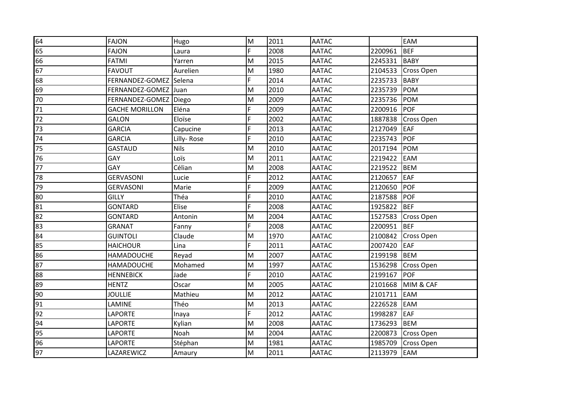| 64 | <b>FAJON</b>          | Hugo        | M              | 2011 | <b>AATAC</b> |         | EAM               |
|----|-----------------------|-------------|----------------|------|--------------|---------|-------------------|
| 65 | <b>FAJON</b>          | Laura       | $\overline{F}$ | 2008 | <b>AATAC</b> | 2200961 | <b>BEF</b>        |
| 66 | <b>FATMI</b>          | Yarren      | M              | 2015 | <b>AATAC</b> | 2245331 | <b>BABY</b>       |
| 67 | <b>FAVOUT</b>         | Aurelien    | M              | 1980 | <b>AATAC</b> | 2104533 | <b>Cross Open</b> |
| 68 | FERNANDEZ-GOMEZ       | Selena      | F.             | 2014 | <b>AATAC</b> | 2235733 | <b>BABY</b>       |
| 69 | FERNANDEZ-GOMEZ       | Juan        | M              | 2010 | <b>AATAC</b> | 2235739 | POM               |
| 70 | FERNANDEZ-GOMEZ Diego |             | M              | 2009 | <b>AATAC</b> | 2235736 | POM               |
| 71 | <b>GACHE MORILLON</b> | Eléna       | $\overline{F}$ | 2009 | <b>AATAC</b> | 2200916 | POF               |
| 72 | <b>GALON</b>          | Eloïse      | F.             | 2002 | <b>AATAC</b> | 1887838 | Cross Open        |
| 73 | <b>GARCIA</b>         | Capucine    | F              | 2013 | <b>AATAC</b> | 2127049 | <b>EAF</b>        |
| 74 | <b>GARCIA</b>         | Lilly-Rose  | F.             | 2010 | <b>AATAC</b> | 2235743 | <b>POF</b>        |
| 75 | <b>GASTAUD</b>        | <b>Nils</b> | M              | 2010 | <b>AATAC</b> | 2017194 | POM               |
| 76 | GAY                   | Loïs        | M              | 2011 | <b>AATAC</b> | 2219422 | <b>EAM</b>        |
| 77 | GAY                   | Célian      | M              | 2008 | <b>AATAC</b> | 2219522 | <b>BEM</b>        |
| 78 | <b>GERVASONI</b>      | Lucie       | F              | 2012 | <b>AATAC</b> | 2120657 | <b>EAF</b>        |
| 79 | <b>GERVASONI</b>      | Marie       | F              | 2009 | <b>AATAC</b> | 2120650 | <b>POF</b>        |
| 80 | <b>GILLY</b>          | Théa        | F              | 2010 | <b>AATAC</b> | 2187588 | POF               |
| 81 | <b>GONTARD</b>        | Elise       | F.             | 2008 | <b>AATAC</b> | 1925822 | BEF               |
| 82 | <b>GONTARD</b>        | Antonin     | M              | 2004 | <b>AATAC</b> | 1527583 | Cross Open        |
| 83 | <b>GRANAT</b>         | Fanny       | F.             | 2008 | <b>AATAC</b> | 2200951 | <b>BEF</b>        |
| 84 | <b>GUINTOLI</b>       | Claude      | $\mathsf{M}$   | 1970 | <b>AATAC</b> | 2100842 | Cross Open        |
| 85 | <b>HAICHOUR</b>       | Lina        | F.             | 2011 | <b>AATAC</b> | 2007420 | <b>EAF</b>        |
| 86 | <b>HAMADOUCHE</b>     | Reyad       | M              | 2007 | <b>AATAC</b> | 2199198 | <b>BEM</b>        |
| 87 | <b>HAMADOUCHE</b>     | Mohamed     | M              | 1997 | <b>AATAC</b> | 1536298 | Cross Open        |
| 88 | <b>HENNEBICK</b>      | Jade        | F.             | 2010 | <b>AATAC</b> | 2199167 | POF               |
| 89 | <b>HENTZ</b>          | Oscar       | M              | 2005 | <b>AATAC</b> | 2101668 | MIM & CAF         |
| 90 | <b>JOULLIE</b>        | Mathieu     | $\mathsf{M}$   | 2012 | <b>AATAC</b> | 2101711 | EAM               |
| 91 | LAMINE                | Théo        | M              | 2013 | <b>AATAC</b> | 2226528 | EAM               |
| 92 | <b>LAPORTE</b>        | Inaya       | F.             | 2012 | <b>AATAC</b> | 1998287 | <b>EAF</b>        |
| 94 | <b>LAPORTE</b>        | Kylian      | M              | 2008 | <b>AATAC</b> | 1736293 | <b>BEM</b>        |
| 95 | LAPORTE               | Noah        | M              | 2004 | <b>AATAC</b> | 2200873 | Cross Open        |
| 96 | <b>LAPORTE</b>        | Stéphan     | M              | 1981 | <b>AATAC</b> | 1985709 | Cross Open        |
| 97 | LAZAREWICZ            | Amaury      | M              | 2011 | <b>AATAC</b> | 2113979 | <b>EAM</b>        |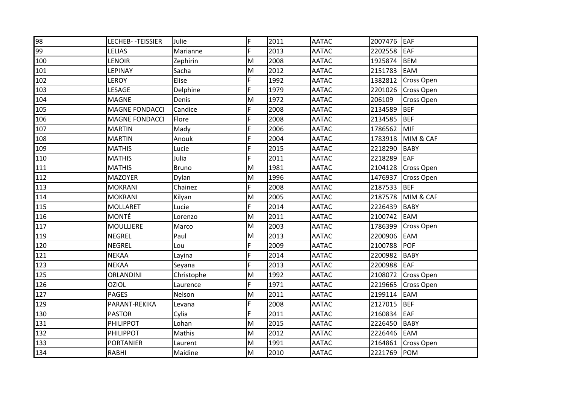| 98  | LECHEB--TEISSIER      | Julie        | F         | 2011 | <b>AATAC</b> | 2007476 EAF |                   |
|-----|-----------------------|--------------|-----------|------|--------------|-------------|-------------------|
| 99  | <b>LELIAS</b>         | Marianne     | F.        | 2013 | <b>AATAC</b> | 2202558     | EAF               |
| 100 | <b>LENOIR</b>         | Zephirin     | M         | 2008 | <b>AATAC</b> | 1925874     | <b>BEM</b>        |
| 101 | LEPINAY               | Sacha        | M         | 2012 | <b>AATAC</b> | 2151783     | EAM               |
| 102 | LEROY                 | Elise        | F         | 1992 | <b>AATAC</b> | 1382812     | <b>Cross Open</b> |
| 103 | LESAGE                | Delphine     | F         | 1979 | <b>AATAC</b> | 2201026     | Cross Open        |
| 104 | <b>MAGNE</b>          | Denis        | M         | 1972 | <b>AATAC</b> | 206109      | Cross Open        |
| 105 | <b>MAGNE FONDACCI</b> | Candice      | F         | 2008 | <b>AATAC</b> | 2134589     | <b>BEF</b>        |
| 106 | <b>MAGNE FONDACCI</b> | Flore        | F         | 2008 | <b>AATAC</b> | 2134585     | BEF               |
| 107 | <b>MARTIN</b>         | Mady         | F         | 2006 | <b>AATAC</b> | 1786562     | MIF               |
| 108 | <b>MARTIN</b>         | Anouk        | F         | 2004 | <b>AATAC</b> | 1783918     | MIM & CAF         |
| 109 | <b>MATHIS</b>         | Lucie        | F         | 2015 | <b>AATAC</b> | 2218290     | <b>BABY</b>       |
| 110 | <b>MATHIS</b>         | Julia        | F         | 2011 | <b>AATAC</b> | 2218289     | EAF               |
| 111 | <b>MATHIS</b>         | <b>Bruno</b> | M         | 1981 | <b>AATAC</b> | 2104128     | Cross Open        |
| 112 | <b>MAZOYER</b>        | Dylan        | M         | 1996 | <b>AATAC</b> | 1476937     | <b>Cross Open</b> |
| 113 | <b>MOKRANI</b>        | Chainez      | F         | 2008 | <b>AATAC</b> | 2187533     | BEF               |
| 114 | <b>MOKRANI</b>        | Kilyan       | M         | 2005 | <b>AATAC</b> | 2187578     | MIM & CAF         |
| 115 | <b>MOLLARET</b>       | Lucie        | F         | 2014 | <b>AATAC</b> | 2226439     | <b>BABY</b>       |
| 116 | <b>MONTÉ</b>          | Lorenzo      | M         | 2011 | <b>AATAC</b> | 2100742     | EAM               |
| 117 | <b>MOULLIERE</b>      | Marco        | ${\sf M}$ | 2003 | <b>AATAC</b> | 1786399     | <b>Cross Open</b> |
| 119 | <b>NEGREL</b>         | Paul         | M         | 2013 | <b>AATAC</b> | 2200906     | <b>EAM</b>        |
| 120 | <b>NEGREL</b>         | Lou          | F         | 2009 | <b>AATAC</b> | 2100788     | POF               |
| 121 | <b>NEKAA</b>          | Layina       | F         | 2014 | <b>AATAC</b> | 2200982     | <b>BABY</b>       |
| 123 | <b>NEKAA</b>          | Seyana       | F         | 2013 | <b>AATAC</b> | 2200988     | EAF               |
| 125 | <b>ORLANDINI</b>      | Christophe   | M         | 1992 | <b>AATAC</b> | 2108072     | Cross Open        |
| 126 | <b>OZIOL</b>          | Laurence     | F         | 1971 | <b>AATAC</b> | 2219665     | Cross Open        |
| 127 | <b>PAGES</b>          | Nelson       | M         | 2011 | <b>AATAC</b> | 2199114     | EAM               |
| 129 | PARANT-REKIKA         | Levana       | F.        | 2008 | <b>AATAC</b> | 2127015     | BEF               |
| 130 | <b>PASTOR</b>         | Cylia        | F.        | 2011 | <b>AATAC</b> | 2160834     | EAF               |
| 131 | PHILIPPOT             | Lohan        | M         | 2015 | <b>AATAC</b> | 2226450     | <b>BABY</b>       |
| 132 | <b>PHILIPPOT</b>      | Mathis       | M         | 2012 | <b>AATAC</b> | 2226446     | EAM               |
| 133 | <b>PORTANIER</b>      | Laurent      | M         | 1991 | <b>AATAC</b> | 2164861     | <b>Cross Open</b> |
| 134 | <b>RABHI</b>          | Maidine      | M         | 2010 | <b>AATAC</b> | 2221769     | <b>POM</b>        |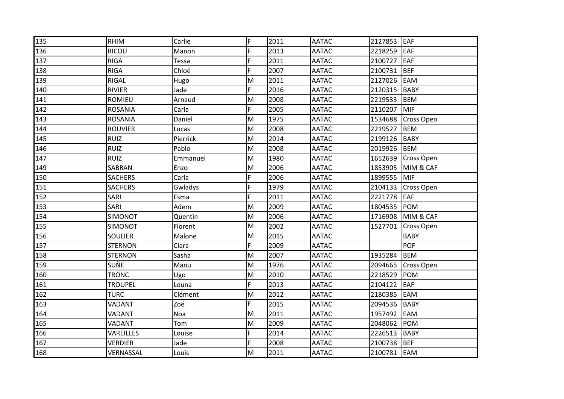| 135 | <b>RHIM</b>    | Carlie   | F              | 2011 | <b>AATAC</b> | 2127853 | EAF               |
|-----|----------------|----------|----------------|------|--------------|---------|-------------------|
| 136 | <b>RICOU</b>   | Manon    | F              | 2013 | <b>AATAC</b> | 2218259 | EAF               |
| 137 | <b>RIGA</b>    | Tessa    | F              | 2011 | <b>AATAC</b> | 2100727 | EAF               |
| 138 | <b>RIGA</b>    | Chloé    | F              | 2007 | <b>AATAC</b> | 2100731 | BEF               |
| 139 | RIGAL          | Hugo     | M              | 2011 | <b>AATAC</b> | 2127026 | EAM               |
| 140 | <b>RIVIER</b>  | Jade     | F.             | 2016 | <b>AATAC</b> | 2120315 | BABY              |
| 141 | <b>ROMIEU</b>  | Arnaud   | M              | 2008 | <b>AATAC</b> | 2219533 | <b>BEM</b>        |
| 142 | <b>ROSANIA</b> | Carla    | $\overline{F}$ | 2005 | <b>AATAC</b> | 2110207 | <b>MIF</b>        |
| 143 | <b>ROSANIA</b> | Daniel   | M              | 1975 | <b>AATAC</b> | 1534688 | <b>Cross Open</b> |
| 144 | <b>ROUVIER</b> | Lucas    | M              | 2008 | <b>AATAC</b> | 2219527 | <b>BEM</b>        |
| 145 | <b>RUIZ</b>    | Pierrick | M              | 2014 | <b>AATAC</b> | 2199126 | BABY              |
| 146 | <b>RUIZ</b>    | Pablo    | M              | 2008 | <b>AATAC</b> | 2019926 | <b>BEM</b>        |
| 147 | <b>RUIZ</b>    | Emmanuel | M              | 1980 | <b>AATAC</b> | 1652639 | <b>Cross Open</b> |
| 149 | SABRAN         | Enzo     | M              | 2006 | <b>AATAC</b> | 1853905 | MIM & CAF         |
| 150 | <b>SACHERS</b> | Carla    | F.             | 2006 | <b>AATAC</b> | 1899555 | MIF               |
| 151 | <b>SACHERS</b> | Gwladys  | F              | 1979 | <b>AATAC</b> | 2104133 | Cross Open        |
| 152 | SARI           | Esma     | F.             | 2011 | <b>AATAC</b> | 2221778 | EAF               |
| 153 | SARI           | Adem     | M              | 2009 | <b>AATAC</b> | 1804535 | POM               |
| 154 | SIMONOT        | Quentin  | M              | 2006 | <b>AATAC</b> | 1716908 | MIM & CAF         |
| 155 | SIMONOT        | Florent  | M              | 2002 | <b>AATAC</b> | 1527701 | Cross Open        |
| 156 | <b>SOULIER</b> | Malone   | M              | 2015 | <b>AATAC</b> |         | <b>BABY</b>       |
| 157 | <b>STERNON</b> | Clara    | F.             | 2009 | <b>AATAC</b> |         | <b>POF</b>        |
| 158 | <b>STERNON</b> | Sasha    | M              | 2007 | <b>AATAC</b> | 1935284 | <b>BEM</b>        |
| 159 | SUÑE           | Manu     | M              | 1976 | <b>AATAC</b> | 2094665 | <b>Cross Open</b> |
| 160 | <b>TRONC</b>   | Ugo      | M              | 2010 | <b>AATAC</b> | 2218529 | POM               |
| 161 | <b>TROUPEL</b> | Louna    | F.             | 2013 | <b>AATAC</b> | 2104122 | EAF               |
| 162 | <b>TURC</b>    | Clément  | M              | 2012 | <b>AATAC</b> | 2180385 | EAM               |
| 163 | VADANT         | Zoé      | F              | 2015 | <b>AATAC</b> | 2094536 | <b>BABY</b>       |
| 164 | VADANT         | Noa      | M              | 2011 | <b>AATAC</b> | 1957492 | EAM               |
| 165 | VADANT         | Tom      | M              | 2009 | <b>AATAC</b> | 2048062 | POM               |
| 166 | VAREILLES      | Louise   | F              | 2014 | <b>AATAC</b> | 2226513 | <b>BABY</b>       |
| 167 | <b>VERDIER</b> | Jade     | F              | 2008 | <b>AATAC</b> | 2100738 | <b>BEF</b>        |
| 168 | VERNASSAL      | Louis    | M              | 2011 | <b>AATAC</b> | 2100781 | EAM               |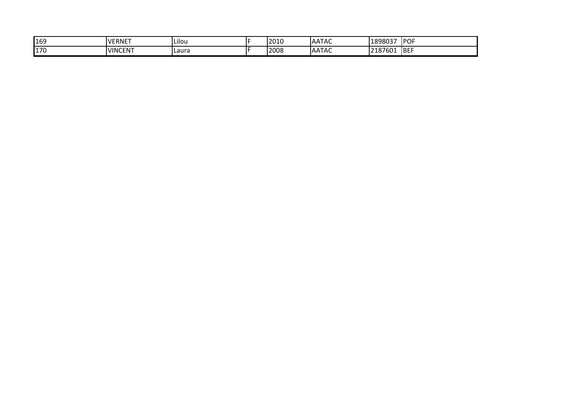| 169 | VERNET         | Lilou          | 2010 | $\sim$ $\sim$ $\sim$ $\sim$<br>ATAC<br>.AA | 1898037         | <b>IPOF</b> |
|-----|----------------|----------------|------|--------------------------------------------|-----------------|-------------|
| 170 | <b>VINCENT</b> | <b>I</b> Laura | 2008 | .<br>ATAC<br>.AA                           | 2187601<br>-187 | <b>BEF</b>  |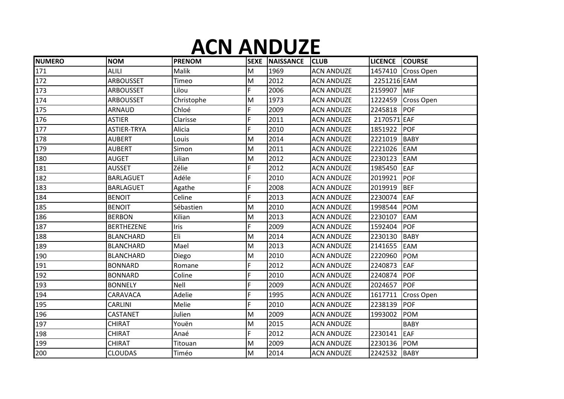#### **ACN ANDUZE**

| <b>NUMERO</b> | <b>NOM</b>        | <b>PRENOM</b> | <b>SEXE</b> | <b>NAISSANCE</b> | <b>CLUB</b>       | <b>LICENCE</b> | <b>COURSE</b>      |
|---------------|-------------------|---------------|-------------|------------------|-------------------|----------------|--------------------|
| 171           | <b>ALILI</b>      | Malik         | M           | 1969             | <b>ACN ANDUZE</b> |                | 1457410 Cross Open |
| 172           | <b>ARBOUSSET</b>  | Timeo         | M           | 2012             | <b>ACN ANDUZE</b> | 2251216 EAM    |                    |
| 173           | ARBOUSSET         | Lilou         | F           | 2006             | <b>ACN ANDUZE</b> | 2159907        | MIF                |
| 174           | ARBOUSSET         | Christophe    | M           | 1973             | <b>ACN ANDUZE</b> |                | 1222459 Cross Open |
| 175           | <b>ARNAUD</b>     | Chloé         | F           | 2009             | <b>ACN ANDUZE</b> | 2245818 POF    |                    |
| 176           | <b>ASTIER</b>     | Clarisse      | F           | 2011             | <b>ACN ANDUZE</b> | 2170571 EAF    |                    |
| 177           | ASTIER-TRYA       | Alicia        | F           | 2010             | <b>ACN ANDUZE</b> | 1851922        | <b>POF</b>         |
| 178           | <b>AUBERT</b>     | Louis         | M           | 2014             | <b>ACN ANDUZE</b> | 2221019        | BABY               |
| 179           | <b>AUBERT</b>     | Simon         | M           | 2011             | <b>ACN ANDUZE</b> | 2221026        | EAM                |
| 180           | <b>AUGET</b>      | Lilian        | M           | 2012             | <b>ACN ANDUZE</b> | 2230123        | <b>EAM</b>         |
| 181           | <b>AUSSET</b>     | Zélie         | F           | 2012             | <b>ACN ANDUZE</b> | 1985450        | EAF                |
| 182           | <b>BARLAGUET</b>  | Adéle         | F           | 2010             | <b>ACN ANDUZE</b> | 2019921        | <b>POF</b>         |
| 183           | <b>BARLAGUET</b>  | Agathe        | F           | 2008             | <b>ACN ANDUZE</b> | 2019919        | <b>BEF</b>         |
| 184           | <b>BENOIT</b>     | Celine        | F           | 2013             | <b>ACN ANDUZE</b> | 2230074        | <b>EAF</b>         |
| 185           | <b>BENOIT</b>     | Sébastien     | M           | 2010             | <b>ACN ANDUZE</b> | 1998544        | <b>POM</b>         |
| 186           | <b>BERBON</b>     | Kilian        | M           | 2013             | <b>ACN ANDUZE</b> | 2230107        | <b>EAM</b>         |
| 187           | <b>BERTHEZENE</b> | <b>Iris</b>   | F           | 2009             | <b>ACN ANDUZE</b> | 1592404        | <b>POF</b>         |
| 188           | <b>BLANCHARD</b>  | Eli           | M           | 2014             | <b>ACN ANDUZE</b> | 2230130        | <b>BABY</b>        |
| 189           | <b>BLANCHARD</b>  | Mael          | M           | 2013             | <b>ACN ANDUZE</b> | 2141655        | EAM                |
| 190           | <b>BLANCHARD</b>  | Diego         | M           | 2010             | <b>ACN ANDUZE</b> | 2220960        | <b>POM</b>         |
| 191           | <b>BONNARD</b>    | Romane        | F           | 2012             | <b>ACN ANDUZE</b> | 2240873        | <b>EAF</b>         |
| 192           | <b>BONNARD</b>    | Coline        | F           | 2010             | <b>ACN ANDUZE</b> | 2240874        | <b>POF</b>         |
| 193           | <b>BONNELY</b>    | Nell          | F           | 2009             | <b>ACN ANDUZE</b> | 2024657        | POF                |
| 194           | CARAVACA          | Adelie        | F           | 1995             | <b>ACN ANDUZE</b> | 1617711        | <b>Cross Open</b>  |
| 195           | <b>CARLINI</b>    | Melie         | F           | 2010             | <b>ACN ANDUZE</b> | 2238139        | <b>POF</b>         |
| 196           | CASTANET          | Julien        | M           | 2009             | <b>ACN ANDUZE</b> | 1993002        | <b>POM</b>         |
| 197           | <b>CHIRAT</b>     | Youën         | M           | 2015             | <b>ACN ANDUZE</b> |                | <b>BABY</b>        |
| 198           | CHIRAT            | Anaé          | F           | 2012             | <b>ACN ANDUZE</b> | 2230141        | <b>EAF</b>         |
| 199           | CHIRAT            | Titouan       | M           | 2009             | <b>ACN ANDUZE</b> | 2230136        | <b>POM</b>         |
| 200           | <b>CLOUDAS</b>    | Timéo         | M           | 2014             | <b>ACN ANDUZE</b> | 2242532        | BABY               |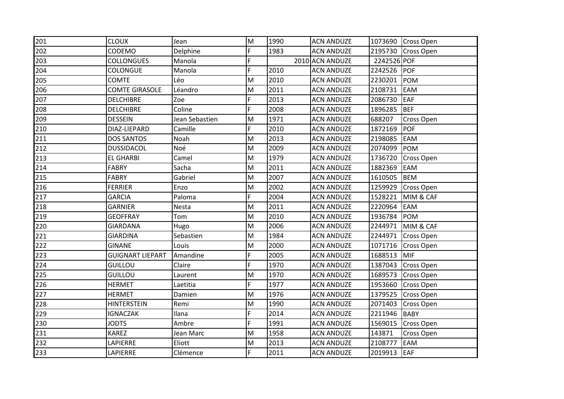| 201 | <b>CLOUX</b>            | Jean           | M                                                                                     | 1990 | <b>ACN ANDUZE</b> |             | 1073690 Cross Open |
|-----|-------------------------|----------------|---------------------------------------------------------------------------------------|------|-------------------|-------------|--------------------|
| 202 | CODEMO                  | Delphine       | $\overline{F}$                                                                        | 1983 | <b>ACN ANDUZE</b> |             | 2195730 Cross Open |
| 203 | <b>COLLONGUES</b>       | Manola         | F.                                                                                    |      | 2010 ACN ANDUZE   | 2242526 POF |                    |
| 204 | <b>COLONGUE</b>         | Manola         | $\overline{F}$                                                                        | 2010 | <b>ACN ANDUZE</b> | 2242526     | <b>POF</b>         |
| 205 | <b>COMTE</b>            | Léo            | M                                                                                     | 2010 | <b>ACN ANDUZE</b> | 2230201     | POM                |
| 206 | <b>COMTE GIRASOLE</b>   | Léandro        | M                                                                                     | 2011 | <b>ACN ANDUZE</b> | 2108731     | <b>EAM</b>         |
| 207 | <b>DELCHIBRE</b>        | Zoe            | F.                                                                                    | 2013 | <b>ACN ANDUZE</b> | 2086730     | EAF                |
| 208 | <b>DELCHIBRE</b>        | Coline         | $\overline{F}$                                                                        | 2008 | <b>ACN ANDUZE</b> | 1896285     | BEF                |
| 209 | <b>DESSEIN</b>          | Jean Sebastien | M                                                                                     | 1971 | <b>ACN ANDUZE</b> | 688207      | Cross Open         |
| 210 | DIAZ-LIEPARD            | Camille        | F.                                                                                    | 2010 | <b>ACN ANDUZE</b> | 1872169     | <b>POF</b>         |
| 211 | <b>DOS SANTOS</b>       | Noah           | M                                                                                     | 2013 | <b>ACN ANDUZE</b> | 2198085     | EAM                |
| 212 | <b>DUSSIDACOL</b>       | Noé            | M                                                                                     | 2009 | <b>ACN ANDUZE</b> | 2074099     | POM                |
| 213 | <b>EL GHARBI</b>        | Camel          | M                                                                                     | 1979 | <b>ACN ANDUZE</b> | 1736720     | <b>Cross Open</b>  |
| 214 | <b>FABRY</b>            | Sacha          | M                                                                                     | 2011 | <b>ACN ANDUZE</b> | 1882369     | EAM                |
| 215 | <b>FABRY</b>            | Gabriel        | M                                                                                     | 2007 | <b>ACN ANDUZE</b> | 1610505     | <b>BEM</b>         |
| 216 | <b>FERRIER</b>          | Enzo           | M                                                                                     | 2002 | <b>ACN ANDUZE</b> | 1259929     | Cross Open         |
| 217 | <b>GARCIA</b>           | Paloma         | F                                                                                     | 2004 | <b>ACN ANDUZE</b> | 1528221     | MIM & CAF          |
| 218 | <b>GARNIER</b>          | Nesta          | M                                                                                     | 2011 | <b>ACN ANDUZE</b> | 2220964     | <b>EAM</b>         |
| 219 | <b>GEOFFRAY</b>         | Tom            | M                                                                                     | 2010 | <b>ACN ANDUZE</b> | 1936784     | POM                |
| 220 | <b>GIARDANA</b>         | Hugo           | M                                                                                     | 2006 | <b>ACN ANDUZE</b> | 2244971     | MIM & CAF          |
| 221 | <b>GIARDINA</b>         | Sebastien      | M                                                                                     | 1984 | <b>ACN ANDUZE</b> | 2244971     | <b>Cross Open</b>  |
| 222 | <b>GINANE</b>           | Louis          | $\mathsf{M}% _{T}=\mathsf{M}_{T}\!\left( a,b\right) ,\ \mathsf{M}_{T}=\mathsf{M}_{T}$ | 2000 | <b>ACN ANDUZE</b> | 1071716     | <b>Cross Open</b>  |
| 223 | <b>GUIGNART LIEPART</b> | Amandine       | F.                                                                                    | 2005 | <b>ACN ANDUZE</b> | 1688513     | <b>MIF</b>         |
| 224 | <b>GUILLOU</b>          | Claire         | F.                                                                                    | 1970 | <b>ACN ANDUZE</b> | 1387043     | Cross Open         |
| 225 | <b>GUILLOU</b>          | Laurent        | M                                                                                     | 1970 | <b>ACN ANDUZE</b> | 1689573     | <b>Cross Open</b>  |
| 226 | <b>HERMET</b>           | Laetitia       | F.                                                                                    | 1977 | <b>ACN ANDUZE</b> | 1953660     | <b>Cross Open</b>  |
| 227 | <b>HERMET</b>           | Damien         | M                                                                                     | 1976 | <b>ACN ANDUZE</b> | 1379525     | <b>Cross Open</b>  |
| 228 | <b>HINTERSTEIN</b>      | Remi           | M                                                                                     | 1990 | <b>ACN ANDUZE</b> | 2071403     | <b>Cross Open</b>  |
| 229 | <b>IGNACZAK</b>         | Ilana          | F                                                                                     | 2014 | <b>ACN ANDUZE</b> | 2211946     | <b>BABY</b>        |
| 230 | <b>JODTS</b>            | Ambre          | F.                                                                                    | 1991 | <b>ACN ANDUZE</b> | 1569015     | <b>Cross Open</b>  |
| 231 | <b>KAREZ</b>            | Jean Marc      | M                                                                                     | 1958 | <b>ACN ANDUZE</b> | 143871      | Cross Open         |
| 232 | LAPIERRE                | Eliott         | M                                                                                     | 2013 | <b>ACN ANDUZE</b> | 2108777     | EAM                |
| 233 | LAPIERRE                | Clémence       | F.                                                                                    | 2011 | <b>ACN ANDUZE</b> | 2019913     | EAF                |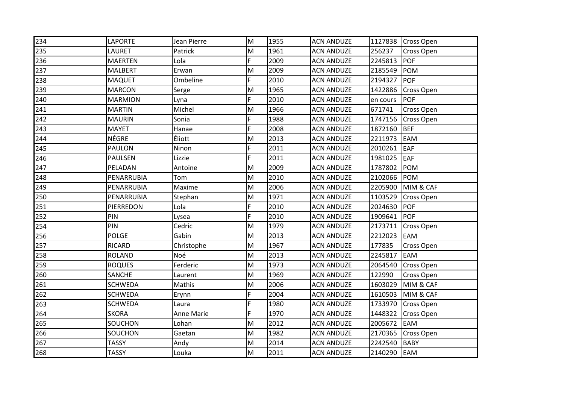| 234 | <b>LAPORTE</b> | Jean Pierre | M              | 1955 | <b>ACN ANDUZE</b> |          | 1127838 Cross Open |
|-----|----------------|-------------|----------------|------|-------------------|----------|--------------------|
| 235 | LAURET         | Patrick     | M              | 1961 | <b>ACN ANDUZE</b> | 256237   | Cross Open         |
| 236 | <b>MAERTEN</b> | Lola        | F.             | 2009 | <b>ACN ANDUZE</b> | 2245813  | <b>POF</b>         |
| 237 | <b>MALBERT</b> | Erwan       | M              | 2009 | <b>ACN ANDUZE</b> | 2185549  | POM                |
| 238 | <b>MAQUET</b>  | Ombeline    | F.             | 2010 | <b>ACN ANDUZE</b> | 2194327  | POF                |
| 239 | <b>MARCON</b>  | Serge       | M              | 1965 | <b>ACN ANDUZE</b> | 1422886  | <b>Cross Open</b>  |
| 240 | <b>MARMION</b> | Lyna        | F.             | 2010 | <b>ACN ANDUZE</b> | en cours | <b>POF</b>         |
| 241 | <b>MARTIN</b>  | Michel      | M              | 1966 | <b>ACN ANDUZE</b> | 671741   | Cross Open         |
| 242 | <b>MAURIN</b>  | Sonia       | F.             | 1988 | <b>ACN ANDUZE</b> | 1747156  | <b>Cross Open</b>  |
| 243 | <b>MAYET</b>   | Hanae       | F.             | 2008 | <b>ACN ANDUZE</b> | 1872160  | <b>BEF</b>         |
| 244 | <b>NÉGRE</b>   | Éliott      | M              | 2013 | <b>ACN ANDUZE</b> | 2211973  | <b>EAM</b>         |
| 245 | <b>PAULON</b>  | Ninon       | F              | 2011 | <b>ACN ANDUZE</b> | 2010261  | EAF                |
| 246 | <b>PAULSEN</b> | Lizzie      | F              | 2011 | <b>ACN ANDUZE</b> | 1981025  | <b>EAF</b>         |
| 247 | PELADAN        | Antoine     | M              | 2009 | <b>ACN ANDUZE</b> | 1787802  | <b>POM</b>         |
| 248 | PENARRUBIA     | Tom         | M              | 2010 | <b>ACN ANDUZE</b> | 2102066  | POM                |
| 249 | PENARRUBIA     | Maxime      | M              | 2006 | <b>ACN ANDUZE</b> | 2205900  | MIM & CAF          |
| 250 | PENARRUBIA     | Stephan     | M              | 1971 | <b>ACN ANDUZE</b> | 1103529  | Cross Open         |
| 251 | PIERREDON      | Lola        | F.             | 2010 | <b>ACN ANDUZE</b> | 2024630  | POF                |
| 252 | PIN            | Lysea       | F.             | 2010 | <b>ACN ANDUZE</b> | 1909641  | POF                |
| 254 | PIN            | Cedric      | M              | 1979 | <b>ACN ANDUZE</b> | 2173711  | Cross Open         |
| 256 | <b>POLGE</b>   | Gabin       | M              | 2013 | <b>ACN ANDUZE</b> | 2212023  | <b>EAM</b>         |
| 257 | <b>RICARD</b>  | Christophe  | M              | 1967 | <b>ACN ANDUZE</b> | 177835   | Cross Open         |
| 258 | <b>ROLAND</b>  | Noé         | M              | 2013 | <b>ACN ANDUZE</b> | 2245817  | EAM                |
| 259 | <b>ROQUES</b>  | Ferderic    | M              | 1973 | <b>ACN ANDUZE</b> | 2064540  | Cross Open         |
| 260 | <b>SANCHE</b>  | Laurent     | M              | 1969 | <b>ACN ANDUZE</b> | 122990   | Cross Open         |
| 261 | <b>SCHWEDA</b> | Mathis      | M              | 2006 | <b>ACN ANDUZE</b> | 1603029  | MIM & CAF          |
| 262 | <b>SCHWEDA</b> | Erynn       | $\overline{F}$ | 2004 | <b>ACN ANDUZE</b> | 1610503  | MIM & CAF          |
| 263 | <b>SCHWEDA</b> | Laura       | F              | 1980 | <b>ACN ANDUZE</b> | 1733970  | <b>Cross Open</b>  |
| 264 | <b>SKORA</b>   | Anne Marie  | F              | 1970 | <b>ACN ANDUZE</b> | 1448322  | Cross Open         |
| 265 | SOUCHON        | Lohan       | M              | 2012 | <b>ACN ANDUZE</b> | 2005672  | EAM                |
| 266 | SOUCHON        | Gaetan      | M              | 1982 | <b>ACN ANDUZE</b> | 2170365  | Cross Open         |
| 267 | <b>TASSY</b>   | Andy        | M              | 2014 | <b>ACN ANDUZE</b> | 2242540  | <b>BABY</b>        |
| 268 | <b>TASSY</b>   | Louka       | M              | 2011 | <b>ACN ANDUZE</b> | 2140290  | EAM                |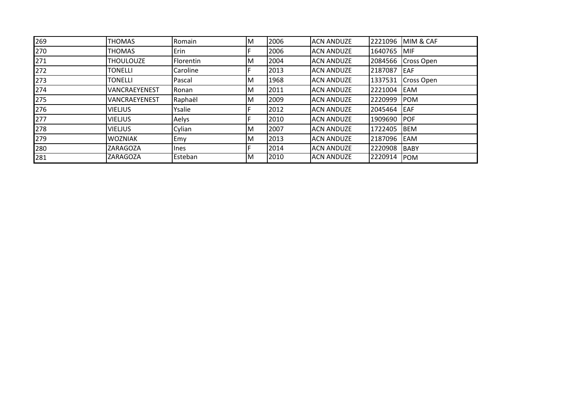| 269 | <b>THOMAS</b>    | Romain         | ΙM | 2006 | <b>ACN ANDUZE</b> | 2221096 | MIM & CAF         |
|-----|------------------|----------------|----|------|-------------------|---------|-------------------|
| 270 | <b>THOMAS</b>    | Erin           |    | 2006 | <b>ACN ANDUZE</b> | 1640765 | <b>MIF</b>        |
| 271 | <b>THOULOUZE</b> | Florentin      | ΙM | 2004 | <b>ACN ANDUZE</b> | 2084566 | <b>Cross Open</b> |
| 272 | <b>TONELLI</b>   | Caroline       |    | 2013 | <b>ACN ANDUZE</b> | 2187087 | <b>IEAF</b>       |
| 273 | <b>TONELLI</b>   | Pascal         | ΙM | 1968 | <b>ACN ANDUZE</b> | 1337531 | <b>Cross Open</b> |
| 274 | VANCRAEYENEST    | <b>I</b> Ronan | ΙM | 2011 | <b>ACN ANDUZE</b> | 2221004 | <b>IEAM</b>       |
| 275 | VANCRAEYENEST    | Raphaël        | ΙM | 2009 | <b>ACN ANDUZE</b> | 2220999 | <b>POM</b>        |
| 276 | <b>VIELJUS</b>   | Ysalie         |    | 2012 | <b>ACN ANDUZE</b> | 2045464 | <b>EAF</b>        |
| 277 | <b>VIELJUS</b>   | Aelys          |    | 2010 | <b>ACN ANDUZE</b> | 1909690 | <b>IPOF</b>       |
| 278 | <b>VIELJUS</b>   | Cylian         | ΙM | 2007 | <b>ACN ANDUZE</b> | 1722405 | <b>BEM</b>        |
| 279 | <b>WOZNIAK</b>   | Emy            | ΙM | 2013 | <b>ACN ANDUZE</b> | 2187096 | <b>EAM</b>        |
| 280 | ZARAGOZA         | <b>Ines</b>    |    | 2014 | <b>ACN ANDUZE</b> | 2220908 | <b>BABY</b>       |
| 281 | <b>ZARAGOZA</b>  | Esteban        | ΙM | 2010 | <b>ACN ANDUZE</b> | 2220914 | <b>POM</b>        |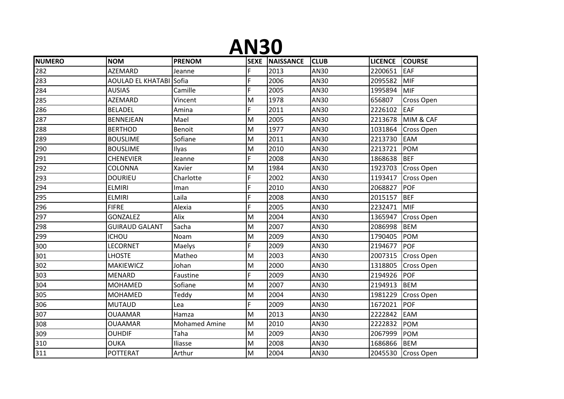#### **AN30**

| <b>NUMERO</b> | <b>NOM</b>                     | <b>PRENOM</b>        |                                                                                       | SEXE   NAISSANCE | <b>CLUB</b> | <b>LICENCE</b> | <b>COURSE</b>      |
|---------------|--------------------------------|----------------------|---------------------------------------------------------------------------------------|------------------|-------------|----------------|--------------------|
| 282           | AZEMARD                        | Jeanne               | F                                                                                     | 2013             | AN30        | 2200651        | EAF                |
| 283           | <b>AOULAD EL KHATABI Sofia</b> |                      | F.                                                                                    | 2006             | AN30        | 2095582        | <b>MIF</b>         |
| 284           | <b>AUSIAS</b>                  | Camille              | F.                                                                                    | 2005             | AN30        | 1995894        | <b>MIF</b>         |
| 285           | <b>AZEMARD</b>                 | Vincent              | M                                                                                     | 1978             | AN30        | 656807         | Cross Open         |
| 286           | <b>BELADEL</b>                 | Amina                | F                                                                                     | 2011             | AN30        | 2226102        | <b>EAF</b>         |
| 287           | <b>BENNEJEAN</b>               | Mael                 | M                                                                                     | 2005             | AN30        | 2213678        | MIM & CAF          |
| 288           | <b>BERTHOD</b>                 | <b>Benoit</b>        | M                                                                                     | 1977             | AN30        | 1031864        | <b>Cross Open</b>  |
| 289           | <b>BOUSLIME</b>                | Sofiane              | M                                                                                     | 2011             | AN30        | 2213730        | EAM                |
| 290           | <b>BOUSLIME</b>                | Ilyas                | M                                                                                     | 2010             | AN30        | 2213721        | <b>POM</b>         |
| 291           | <b>CHENEVIER</b>               | Jeanne               | F                                                                                     | 2008             | AN30        | 1868638        | <b>BEF</b>         |
| 292           | COLONNA                        | Xavier               | M                                                                                     | 1984             | AN30        | 1923703        | Cross Open         |
| 293           | <b>DOURIEU</b>                 | Charlotte            | F                                                                                     | 2002             | AN30        | 1193417        | <b>Cross Open</b>  |
| 294           | <b>ELMIRI</b>                  | Iman                 | F.                                                                                    | 2010             | AN30        | 2068827        | <b>POF</b>         |
| 295           | <b>ELMIRI</b>                  | Laila                | F.                                                                                    | 2008             | AN30        | 2015157        | <b>BEF</b>         |
| 296           | <b>FIFRE</b>                   | Alexia               | F                                                                                     | 2005             | AN30        | 2232471        | <b>MIF</b>         |
| 297           | <b>GONZALEZ</b>                | Alix                 | M                                                                                     | 2004             | AN30        | 1365947        | <b>Cross Open</b>  |
| 298           | <b>GUIRAUD GALANT</b>          | Sacha                | M                                                                                     | 2007             | AN30        | 2086998        | <b>BEM</b>         |
| 299           | <b>ICHOU</b>                   | Noam                 | $\mathsf{M}% _{T}=\mathsf{M}_{T}\!\left( a,b\right) ,\ \mathsf{M}_{T}=\mathsf{M}_{T}$ | 2009             | AN30        | 1790405        | <b>POM</b>         |
| 300           | LECORNET                       | Maelys               | F                                                                                     | 2009             | AN30        | 2194677        | POF                |
| 301           | <b>LHOSTE</b>                  | Matheo               | M                                                                                     | 2003             | AN30        | 2007315        | <b>Cross Open</b>  |
| 302           | <b>MAKIEWICZ</b>               | Johan                | M                                                                                     | 2000             | AN30        | 1318805        | <b>Cross Open</b>  |
| 303           | <b>MENARD</b>                  | Faustine             | F.                                                                                    | 2009             | AN30        | 2194926        | <b>POF</b>         |
| 304           | MOHAMED                        | Sofiane              | M                                                                                     | 2007             | AN30        | 2194913        | <b>BEM</b>         |
| 305           | MOHAMED                        | Teddy                | M                                                                                     | 2004             | AN30        | 1981229        | <b>Cross Open</b>  |
| 306           | <b>MUTAUD</b>                  | Lea                  | F.                                                                                    | 2009             | AN30        | 1672021        | <b>POF</b>         |
| 307           | <b>OUAAMAR</b>                 | Hamza                | M                                                                                     | 2013             | AN30        | 2222842        | EAM                |
| 308           | <b>OUAAMAR</b>                 | <b>Mohamed Amine</b> | M                                                                                     | 2010             | AN30        | 2222832        | <b>POM</b>         |
| 309           | <b>OUHDIF</b>                  | Taha                 | M                                                                                     | 2009             | AN30        | 2067999        | <b>POM</b>         |
| 310           | OUKA                           | Iliasse              | M                                                                                     | 2008             | AN30        | 1686866        | <b>BEM</b>         |
| 311           | <b>POTTERAT</b>                | Arthur               | M                                                                                     | 2004             | AN30        |                | 2045530 Cross Open |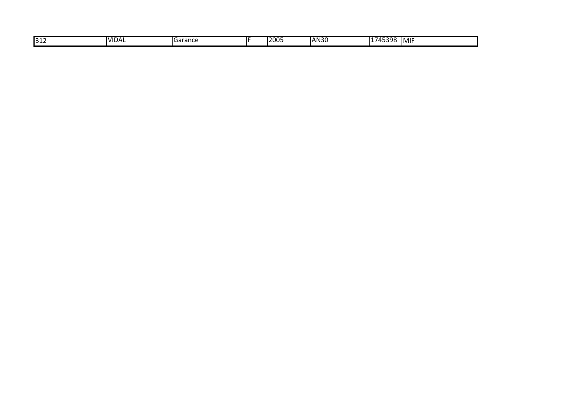| 1745398<br><b>AN30</b><br>∍∩∩נ<br><b>VIDAL</b><br>312<br><b>MIF</b><br><b>I</b> Garance<br>ゖゔゔゔ゙<br>ZUU. |
|----------------------------------------------------------------------------------------------------------|
|----------------------------------------------------------------------------------------------------------|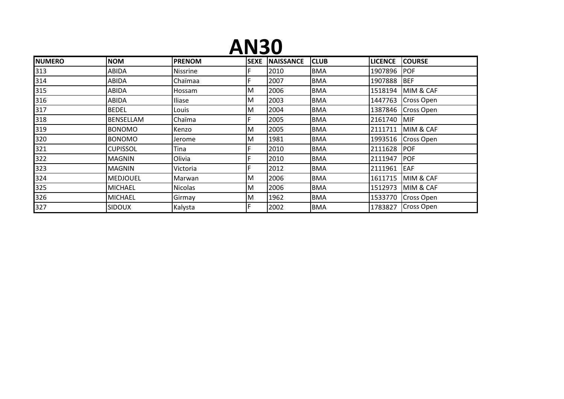#### **AN30**

| <b>NUMERO</b> | <b>NOM</b>       | <b>PRENOM</b>   | <b>SEXE</b> | <b>NAISSANCE</b> | <b>CLUB</b> | <b>LICENCE</b> | <b>COURSE</b>     |
|---------------|------------------|-----------------|-------------|------------------|-------------|----------------|-------------------|
| 313           | ABIDA            | <b>Nissrine</b> | F           | 2010             | <b>BMA</b>  | 1907896        | <b>POF</b>        |
| 314           | ABIDA            | Chaïmaa         | F           | 2007             | <b>BMA</b>  | 1907888        | <b>BEF</b>        |
| 315           | ABIDA            | Hossam          | M           | 2006             | <b>BMA</b>  | 1518194        | MIM & CAF         |
| 316           | ABIDA            | Iliase          | M           | 2003             | <b>BMA</b>  | 1447763        | <b>Cross Open</b> |
| 317           | <b>BEDEL</b>     | Louis           | M           | 2004             | <b>BMA</b>  | 1387846        | Cross Open        |
| 318           | <b>BENSELLAM</b> | Chaïma          | F           | 2005             | <b>BMA</b>  | 2161740        | MIF               |
| 319           | <b>BONOMO</b>    | Kenzo           | M           | 2005             | <b>BMA</b>  | 2111711        | MIM & CAF         |
| 320           | <b>BONOMO</b>    | Jerome          | M           | 1981             | <b>BMA</b>  | 1993516        | Cross Open        |
| 321           | <b>CUPISSOL</b>  | Tina            | F           | 2010             | <b>BMA</b>  | 2111628        | <b>POF</b>        |
| 322           | <b>MAGNIN</b>    | Olivia          | F           | 2010             | <b>BMA</b>  | 2111947        | <b>POF</b>        |
| 323           | <b>MAGNIN</b>    | Victoria        | F.          | 2012             | <b>BMA</b>  | 2111961        | EAF               |
| 324           | <b>MEDJOUEL</b>  | Marwan          | M           | 2006             | <b>BMA</b>  | 1611715        | MIM & CAF         |
| 325           | <b>MICHAEL</b>   | Nicolas         | M           | 2006             | <b>BMA</b>  | 1512973        | MIM & CAF         |
| 326           | <b>MICHAEL</b>   | Girmay          | M           | 1962             | <b>BMA</b>  | 1533770        | <b>Cross Open</b> |
| 327           | <b>SIDOUX</b>    | Kalysta         | F.          | 2002             | <b>BMA</b>  | 1783827        | <b>Cross Open</b> |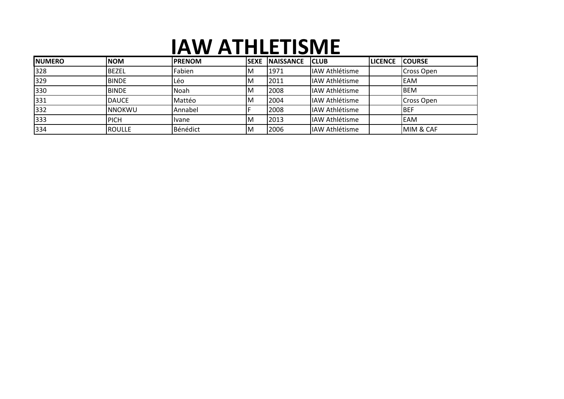## **IAW ATHLETISME**

| <b>NUMERO</b> | <b>NOM</b>     | <b>IPRENOM</b> | <b>SEXE</b> | <b>INAISSANCE</b> | <b>CLUB</b>            | <b>LICENCE</b> | <b>ICOURSE</b>       |
|---------------|----------------|----------------|-------------|-------------------|------------------------|----------------|----------------------|
| 328           | <b>BEZEL</b>   | Fabien         | ΙM          | 1971              | IAW Athlétisme         |                | Cross Open           |
| 329           | <b>BINDE</b>   | Léo            | ΙM          | 2011              | <b>IIAW Athlétisme</b> |                | <b>EAM</b>           |
| 330           | <b>BINDE</b>   | Noah           | ΙM          | 2008              | IAW Athlétisme         |                | <b>BEM</b>           |
| 331           | <b>DAUCE</b>   | Mattéo         | IM          | 2004              | <b>IIAW Athlétisme</b> |                | <b>Cross Open</b>    |
| 332           | <b>INNOKWU</b> | Annabel        |             | 2008              | IAW Athlétisme         |                | <b>BEF</b>           |
| 333           | <b>PICH</b>    | <b>I</b> vane  | IΜ          | 2013              | <b>IIAW Athlétisme</b> |                | <b>EAM</b>           |
| 334           | <b>ROULLE</b>  | Bénédict       | ΙM          | 2006              | IAW Athlétisme         |                | <b>MIM &amp; CAF</b> |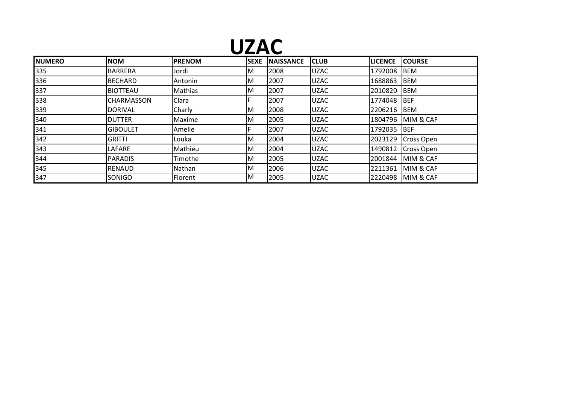## **UZAC**

| <b>INUMERO</b> | <b>NOM</b>      | <b>PRENOM</b>  | <b>SEXE</b> | <b>NAISSANCE</b> | <b>CLUB</b> | <b>LICENCE</b> | <b>COURSE</b>      |
|----------------|-----------------|----------------|-------------|------------------|-------------|----------------|--------------------|
| 335            | <b>BARRERA</b>  | Jordi          | ΙM          | 2008             | <b>UZAC</b> | 1792008        | <b>BEM</b>         |
| 336            | <b>BECHARD</b>  | Antonin        | ΙM          | 2007             | <b>UZAC</b> | 1688863        | <b>IBEM</b>        |
| 337            | <b>BIOTTEAU</b> | Mathias        | ΙM          | 2007             | <b>UZAC</b> | 2010820        | <b>IBEM</b>        |
| 338            | CHARMASSON      | Clara          |             | 2007             | <b>UZAC</b> | 1774048 BEF    |                    |
| 339            | <b>DORIVAL</b>  | Charly         | ΙM          | 2008             | <b>UZAC</b> | 2206216 BEM    |                    |
| 340            | <b>DUTTER</b>   | Maxime         | ΙM          | 2005             | <b>UZAC</b> |                | 1804796 MIM & CAF  |
| 341            | <b>GIBOULET</b> | Amelie         |             | 2007             | <b>UZAC</b> | 1792035 BEF    |                    |
| 342            | <b>GRITTI</b>   | Louka          | ΙM          | 2004             | <b>UZAC</b> |                | 2023129 Cross Open |
| 343            | LAFARE          | Mathieu        | ΙM          | 2004             | <b>UZAC</b> | 1490812        | Cross Open         |
| 344            | <b>PARADIS</b>  | Timothe        | ΙM          | 2005             | <b>UZAC</b> |                | 2001844 MIM & CAF  |
| 345            | <b>RENAUD</b>   | Nathan         | ΙM          | 2006             | <b>UZAC</b> |                | 2211361 MIM & CAF  |
| 347            | SONIGO          | <b>Florent</b> | ΙM          | 2005             | <b>UZAC</b> |                | 2220498 MIM & CAF  |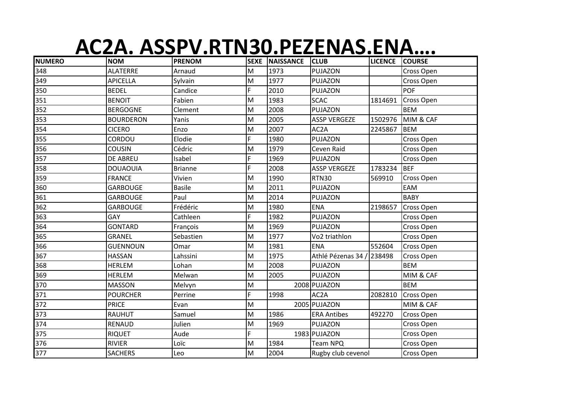# **AC2A. ASSPV.RTN30.PEZENAS.ENA….**

| <b>NUMERO</b> | <b>NOM</b>       | <b>PRENOM</b>  |                                                                                       | <b>SEXE NAISSANCE</b> | <b>CLUB</b>         | <b>LICENCE</b> | <b>COURSE</b>     |
|---------------|------------------|----------------|---------------------------------------------------------------------------------------|-----------------------|---------------------|----------------|-------------------|
| 348           | <b>ALATERRE</b>  | Arnaud         | M                                                                                     | 1973                  | PUJAZON             |                | Cross Open        |
| 349           | <b>APICELLA</b>  | Sylvain        | M                                                                                     | 1977                  | PUJAZON             |                | Cross Open        |
| 350           | <b>BEDEL</b>     | Candice        | F                                                                                     | 2010                  | PUJAZON             |                | <b>POF</b>        |
| 351           | <b>BENOIT</b>    | Fabien         | M                                                                                     | 1983                  | <b>SCAC</b>         | 1814691        | Cross Open        |
| 352           | <b>BERGOGNE</b>  | Clement        | M                                                                                     | 2008                  | PUJAZON             |                | <b>BEM</b>        |
| 353           | <b>BOURDERON</b> | Yanis          | M                                                                                     | 2005                  | <b>ASSP VERGEZE</b> | 1502976        | MIM & CAF         |
| 354           | <b>CICERO</b>    | Enzo           | M                                                                                     | 2007                  | AC <sub>2</sub> A   | 2245867        | <b>BEM</b>        |
| 355           | CORDOU           | Elodie         | F                                                                                     | 1980                  | PUJAZON             |                | Cross Open        |
| 356           | <b>COUSIN</b>    | Cédric         | M                                                                                     | 1979                  | Ceven Raid          |                | Cross Open        |
| 357           | <b>DE ABREU</b>  | Isabel         | $\overline{F}$                                                                        | 1969                  | PUJAZON             |                | Cross Open        |
| 358           | <b>DOUAOUIA</b>  | <b>Brianne</b> | F.                                                                                    | 2008                  | <b>ASSP VERGEZE</b> | 1783234        | <b>BEF</b>        |
| 359           | <b>FRANCE</b>    | Vivien         | M                                                                                     | 1990                  | <b>RTN30</b>        | 569910         | Cross Open        |
| 360           | <b>GARBOUGE</b>  | <b>Basile</b>  | M                                                                                     | 2011                  | PUJAZON             |                | EAM               |
| 361           | <b>GARBOUGE</b>  | Paul           | M                                                                                     | 2014                  | PUJAZON             |                | <b>BABY</b>       |
| 362           | <b>GARBOUGE</b>  | Frédéric       | M                                                                                     | 1980                  | <b>ENA</b>          | 2198657        | Cross Open        |
| 363           | GAY              | Cathleen       | F.                                                                                    | 1982                  | PUJAZON             |                | Cross Open        |
| 364           | <b>GONTARD</b>   | François       | M                                                                                     | 1969                  | PUJAZON             |                | Cross Open        |
| 365           | <b>GRANEL</b>    | Sebastien      | M                                                                                     | 1977                  | Vo2 triathlon       |                | Cross Open        |
| 366           | <b>GUENNOUN</b>  | Omar           | M                                                                                     | 1981                  | <b>ENA</b>          | 552604         | Cross Open        |
| 367           | <b>HASSAN</b>    | Lahssini       | M                                                                                     | 1975                  | Athlé Pézenas 34 /  | 238498         | Cross Open        |
| 368           | <b>HERLEM</b>    | Lohan          | $\mathsf{M}% _{T}=\mathsf{M}_{T}\!\left( a,b\right) ,\ \mathsf{M}_{T}=\mathsf{M}_{T}$ | 2008                  | PUJAZON             |                | <b>BEM</b>        |
| 369           | <b>HERLEM</b>    | Melwan         | M                                                                                     | 2005                  | PUJAZON             |                | MIM & CAF         |
| 370           | <b>MASSON</b>    | Melvyn         | M                                                                                     |                       | 2008 PUJAZON        |                | <b>BEM</b>        |
| 371           | <b>POURCHER</b>  | Perrine        | F.                                                                                    | 1998                  | AC <sub>2</sub> A   | 2082810        | <b>Cross Open</b> |
| 372           | <b>PRICE</b>     | Evan           | M                                                                                     |                       | 2005 PUJAZON        |                | MIM & CAF         |
| 373           | <b>RAUHUT</b>    | Samuel         | M                                                                                     | 1986                  | <b>ERA Antibes</b>  | 492270         | Cross Open        |
| 374           | <b>RENAUD</b>    | Julien         | M                                                                                     | 1969                  | PUJAZON             |                | Cross Open        |
| 375           | <b>RIQUET</b>    | Aude           | F                                                                                     |                       | 1983 PUJAZON        |                | Cross Open        |
| 376           | <b>RIVIER</b>    | Loïc           | M                                                                                     | 1984                  | Team NPQ            |                | Cross Open        |
| 377           | <b>SACHERS</b>   | Leo            | M                                                                                     | 2004                  | Rugby club cevenol  |                | Cross Open        |